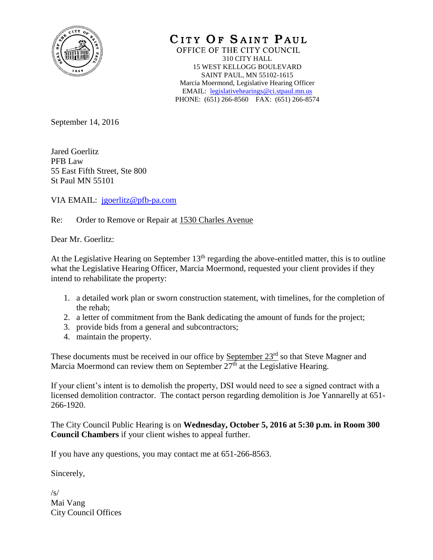

CITY OF SAINT PAUL OFFICE OF THE CITY COUNCIL 310 CITY HALL 15 WEST KELLOGG BOULEVARD SAINT PAUL, MN 55102-1615 Marcia Moermond, Legislative Hearing Officer EMAIL: [legislativehearings@ci.stpaul.mn.us](mailto:legislativehearings@ci.stpaul.mn.us) PHONE: (651) 266-8560 FAX: (651) 266-8574

September 14, 2016

Jared Goerlitz PFB Law 55 East Fifth Street, Ste 800 St Paul MN 55101

VIA EMAIL: [jgoerlitz@pfb-pa.com](mailto:jgoerlitz@pfb-pa.com)

Re: Order to Remove or Repair at 1530 Charles Avenue

Dear Mr. Goerlitz:

At the Legislative Hearing on September  $13<sup>th</sup>$  regarding the above-entitled matter, this is to outline what the Legislative Hearing Officer, Marcia Moermond, requested your client provides if they intend to rehabilitate the property:

- 1. a detailed work plan or sworn construction statement, with timelines, for the completion of the rehab;
- 2. a letter of commitment from the Bank dedicating the amount of funds for the project;
- 3. provide bids from a general and subcontractors;
- 4. maintain the property.

These documents must be received in our office by September 23<sup>rd</sup> so that Steve Magner and Marcia Moermond can review them on September  $27<sup>th</sup>$  at the Legislative Hearing.

If your client's intent is to demolish the property, DSI would need to see a signed contract with a licensed demolition contractor. The contact person regarding demolition is Joe Yannarelly at 651- 266-1920.

The City Council Public Hearing is on **Wednesday, October 5, 2016 at 5:30 p.m. in Room 300 Council Chambers** if your client wishes to appeal further.

If you have any questions, you may contact me at 651-266-8563.

Sincerely,

 $\sqrt{s}$ Mai Vang City Council Offices